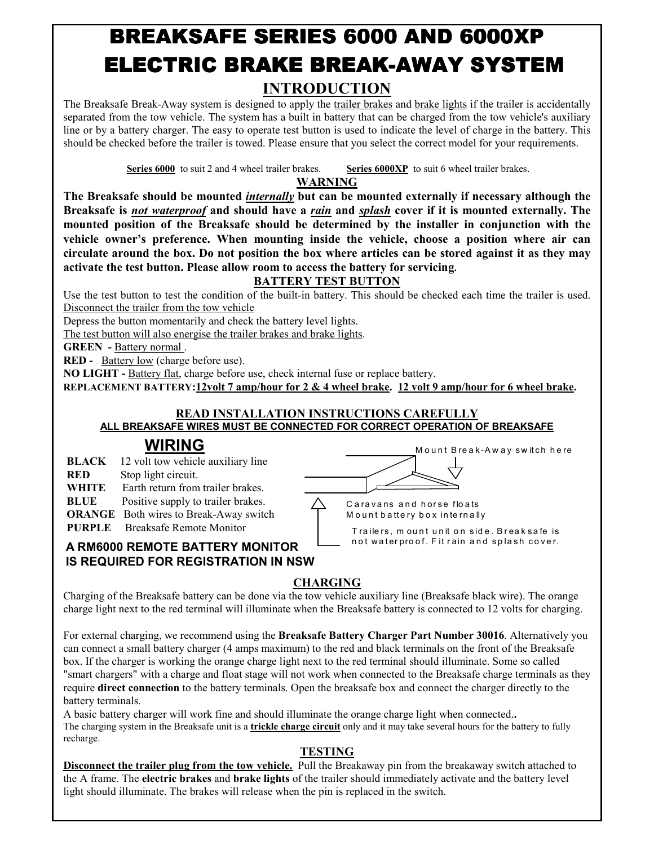# BREAKSAFE SERIES 6000 AND 6000XP ELECTRIC BRAKE BREAK-AWAY SYSTEM **INTRODUCTION**

The Breaksafe Break-Away system is designed to apply the trailer brakes and brake lights if the trailer is accidentally separated from the tow vehicle. The system has a built in battery that can be charged from the tow vehicle's auxiliary line or by a battery charger. The easy to operate test button is used to indicate the level of charge in the battery. This should be checked before the trailer is towed. Please ensure that you select the correct model for your requirements.

**Series 6000** to suit 2 and 4 wheel trailer brakes. **Series 6000XP** to suit 6 wheel trailer brakes.

**WARNING** 

**The Breaksafe should be mounted** *internally* **but can be mounted externally if necessary although the Breaksafe is** *not waterproof* **and should have a** *rain* **and** *splash* **cover if it is mounted externally. The mounted position of the Breaksafe should be determined by the installer in conjunction with the vehicle owner's preference. When mounting inside the vehicle, choose a position where air can circulate around the box. Do not position the box where articles can be stored against it as they may activate the test button. Please allow room to access the battery for servicing.** 

### **BATTERY TEST BUTTON**

Use the test button to test the condition of the built-in battery. This should be checked each time the trailer is used. Disconnect the trailer from the tow vehicle

Depress the button momentarily and check the battery level lights.

The test button will also energise the trailer brakes and brake lights.

**GREEN -** Battery normal .

**RED -** Battery low (charge before use).

**NO LIGHT -** Battery flat, charge before use, check internal fuse or replace battery.

**REPLACEMENT BATTERY:12volt 7 amp/hour for 2 & 4 wheel brake. 12 volt 9 amp/hour for 6 wheel brake.** 

#### **READ INSTALLATION INSTRUCTIONS CAREFULLY ALL BREAKSAFE WIRES MUST BE CONNECTED FOR CORRECT OPERATION OF BREAKSAFE**

# **WIRING**

**BLACK** 12 volt tow vehicle auxiliary line

**RED** Stop light circuit.

- **WHITE** Earth return from trailer brakes.
- **BLUE** Positive supply to trailer brakes.
- **ORANGE** Both wires to Break-Away switch
- **PURPLE** Breaksafe Remote Monitor



Caravans and horse floats Mount battery box internally

Trailers, mount unit on side. Break safe is not waterproof. Fit rain and splash cover.

#### **A RM6000 REMOTE BATTERY MONITOR IS REQUIRED FOR REGISTRATION IN NSW**

### **CHARGING**

Charging of the Breaksafe battery can be done via the tow vehicle auxiliary line (Breaksafe black wire). The orange charge light next to the red terminal will illuminate when the Breaksafe battery is connected to 12 volts for charging.

For external charging, we recommend using the **Breaksafe Battery Charger Part Number 30016**. Alternatively you can connect a small battery charger (4 amps maximum) to the red and black terminals on the front of the Breaksafe box. If the charger is working the orange charge light next to the red terminal should illuminate. Some so called "smart chargers" with a charge and float stage will not work when connected to the Breaksafe charge terminals as they require **direct connection** to the battery terminals. Open the breaksafe box and connect the charger directly to the battery terminals.

A basic battery charger will work fine and should illuminate the orange charge light when connected.**.** The charging system in the Breaksafe unit is a **trickle charge circuit** only and it may take several hours for the battery to fully recharge.

#### **TESTING**

**Disconnect the trailer plug from the tow vehicle.** Pull the Breakaway pin from the breakaway switch attached to the A frame. The **electric brakes** and **brake lights** of the trailer should immediately activate and the battery level light should illuminate. The brakes will release when the pin is replaced in the switch.